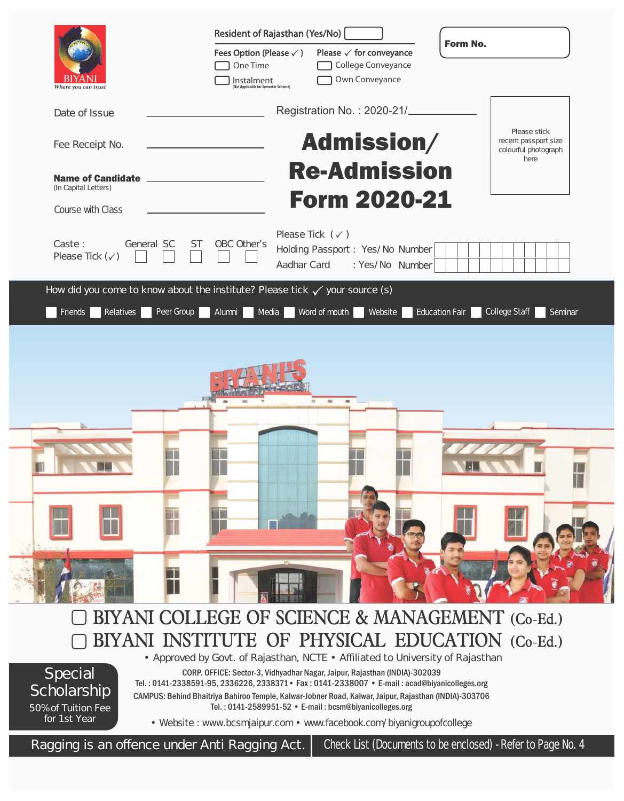|                                                                                        |                                                                                                                                                                                                                                                                                                                                                               | <b>Resident of Rajasthan (Yes/No)</b>                                        | Form No.                                                                   |                              |                                                              |
|----------------------------------------------------------------------------------------|---------------------------------------------------------------------------------------------------------------------------------------------------------------------------------------------------------------------------------------------------------------------------------------------------------------------------------------------------------------|------------------------------------------------------------------------------|----------------------------------------------------------------------------|------------------------------|--------------------------------------------------------------|
| Where you can trust                                                                    | Fees Option (Please $\checkmark$ )<br>One Time<br>Instalment<br>ot Applicable for Semester Scheme                                                                                                                                                                                                                                                             |                                                                              | Please $\checkmark$ for conveyance<br>College Conveyance<br>Own Conveyance |                              |                                                              |
| Date of Issue                                                                          |                                                                                                                                                                                                                                                                                                                                                               | Registration No.: 2020-21/                                                   |                                                                            |                              |                                                              |
| Fee Receipt No.                                                                        |                                                                                                                                                                                                                                                                                                                                                               |                                                                              | Admission/                                                                 |                              | Please stick<br>recent passport size<br>colourful photograph |
| <b>Name of Candidate</b><br>(In Capital Letters)                                       |                                                                                                                                                                                                                                                                                                                                                               |                                                                              | <b>Re-Admission</b>                                                        |                              | here                                                         |
| Course with Class                                                                      |                                                                                                                                                                                                                                                                                                                                                               |                                                                              | <b>Form 2020-21</b>                                                        |                              |                                                              |
| Caste:<br>General SC<br>Please Tick $(\checkmark)$                                     | OBC Other's<br>ST                                                                                                                                                                                                                                                                                                                                             | Please Tick $(\checkmark)$<br>Holding Passport: Yes/No Number<br>Aadhar Card | : Yes/No Number                                                            |                              |                                                              |
| How did you come to know about the institute? Please tick $\checkmark$ your source (s) |                                                                                                                                                                                                                                                                                                                                                               |                                                                              |                                                                            |                              |                                                              |
| Friends                                                                                | Relatives Peer Group Alumni Media Word of mouth Website                                                                                                                                                                                                                                                                                                       |                                                                              |                                                                            | Education Fair College Staff | Seminar                                                      |
|                                                                                        |                                                                                                                                                                                                                                                                                                                                                               |                                                                              |                                                                            |                              |                                                              |
|                                                                                        |                                                                                                                                                                                                                                                                                                                                                               | 取                                                                            |                                                                            |                              |                                                              |
|                                                                                        |                                                                                                                                                                                                                                                                                                                                                               |                                                                              |                                                                            |                              |                                                              |
|                                                                                        |                                                                                                                                                                                                                                                                                                                                                               |                                                                              |                                                                            |                              |                                                              |
|                                                                                        |                                                                                                                                                                                                                                                                                                                                                               |                                                                              |                                                                            |                              |                                                              |
|                                                                                        | BIYANI COLLEGE OF SCIENCE & MANAGEMENT (Co-Ed.)<br>BIYANI INSTITUTE OF PHYSICAL EDUCATION (Co-Ed.)                                                                                                                                                                                                                                                            |                                                                              |                                                                            |                              |                                                              |
|                                                                                        | • Approved by Govt. of Rajasthan, NCTE • Affiliated to University of Rajasthan                                                                                                                                                                                                                                                                                |                                                                              |                                                                            |                              |                                                              |
| Special<br>Scholarship<br>50% of Tuition Fee<br>for 1st Year                           | CORP. OFFICE: Sector-3, Vidhyadhar Nagar, Jaipur, Rajasthan (INDIA)-302039<br>Tel.: 0141-2338591-95, 2336226, 2338371 · Fax: 0141-2338007 · E-mail: acad@biyanicolleges.org<br>CAMPUS: Behind Bhaitriya Bahiroo Temple, Kalwar-Jobner Road, Kalwar, Jaipur, Rajasthan (INDIA)-303706<br>• Website: www.bcsmjaipur.com • www.facebook.com/biyanigroupofcollege | Tel.: 0141-2589951-52 • E-mail: bcsm@biyanicolleges.org                      |                                                                            |                              |                                                              |
| Ragging is an offence under Anti Ragging Act.                                          |                                                                                                                                                                                                                                                                                                                                                               |                                                                              |                                                                            |                              | Check List (Documents to be enclosed) - Refer to Page No. 4  |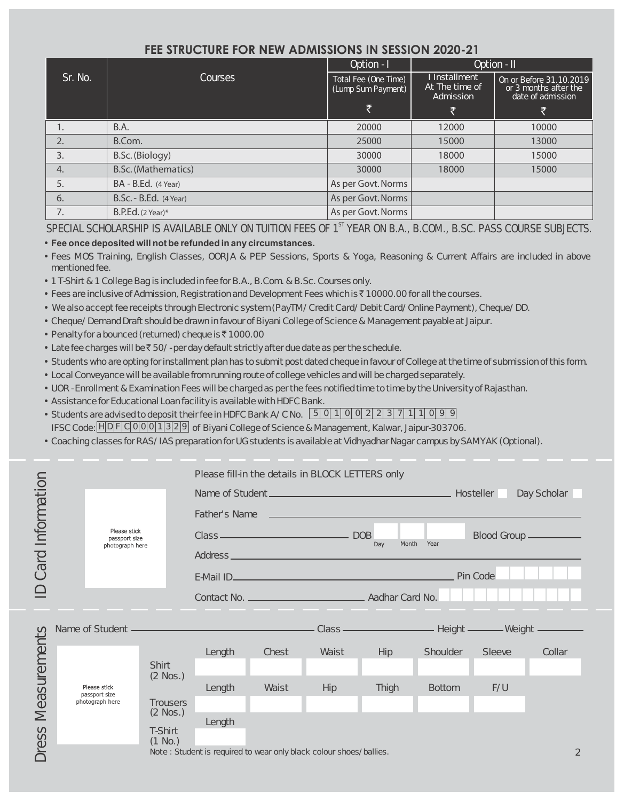#### **FEE STRUCTURE FOR NEW ADMISSIONS IN SESSION 2020-21**

|         |                               | Option - I                                 | Option - II                                  |                                                                       |  |
|---------|-------------------------------|--------------------------------------------|----------------------------------------------|-----------------------------------------------------------------------|--|
| Sr. No. | Courses                       | Total Fee (One Time)<br>(Lump Sum Payment) | I Installment<br>At The time of<br>Admission | On or Before 31.10.2019<br>or 3 months after the<br>date of admission |  |
|         |                               | ₹                                          |                                              |                                                                       |  |
|         | B.A.                          | 20000                                      | 12000                                        | 10000                                                                 |  |
|         | B.Com.                        | 25000                                      | 15000                                        | 13000                                                                 |  |
| 3.      | B.Sc. (Biology)               | 30000                                      | 18000                                        | 15000                                                                 |  |
| 4.      | B.Sc. (Mathematics)           | 30000                                      | 18000                                        | 15000                                                                 |  |
| 5.      | BA - B.Ed. (4 Year)           | As per Govt. Norms                         |                                              |                                                                       |  |
| 6.      | <b>B.Sc. - B.Ed.</b> (4 Year) | As per Govt. Norms                         |                                              |                                                                       |  |
|         | <b>B.P.Ed.</b> (2 Year)*      | As per Govt. Norms                         |                                              |                                                                       |  |

SPECIAL SCHOLARSHIP IS AVAILABLE ONLY ON TUITION FEES OF 1<sup>ST</sup> YEAR ON B.A., B.COM., B.SC. PASS COURSE SUBJECTS.

#### **• Fee once deposited will not be refunded in any circumstances.**

- **Fees MOS Training, English Classes, OORJA & PEP Sessions, Sports & Yoga, Reasoning & Current Affairs are included in above mentioned fee.**
- **1 T-Shirt & 1 College Bag is included in fee for B.A., B.Com. & B.Sc. Courses only.**
- Fees are inclusive of Admission, Registration and Development Fees which is₹10000.00 for all the courses.
- **We also accept fee receipts through Electronic system (PayTM/Credit Card/Debit Card/Online Payment), Cheque/DD.**
- **Cheque/Demand Draft should be drawn in favour of Biyani College of Science & Management payable at Jaipur.**
- **Penalty for a bounced (returned) cheque is ₹1000.00**

 $\overline{\underline{\mathsf{C}}}$ 

- **Late fee charges will be** ` **50/- per day default strictly after due date as per the schedule.**
- **Students who are opting for installment plan has to submit post dated cheque in favour of College at the time of submission of this form.**
- **Local Conveyance will be available from running route of college vehicles and will be charged separately.**
- **UOR Enrollment & Examination Fees will be charged as per the fees notified time to time by the University of Rajasthan.**
- **Assistance for Educational Loan facility is available with HDFC Bank.**
- **Students are advised to deposit their fee in HDFC Bank A/C No. 5 0 1 0 0 2 2 3 7 1 1 0 9 9 IFSC Code:**  $\text{[HDF[C]0]0]1}$   $1$   $3$   $2$   $9$   $\text{]}$  of Biyani College of Science & Management, Kalwar, Jaipur-303706.
- **Coaching classes for RAS/IAS preparation for UG students is available at Vidhyadhar Nagar campus by SAMYAK (Optional).**

|                  |                                                  |                                                  |                               |                                                                                  | Please fill-in the details in BLOCK LETTERS only |       |            |          |               |                |  |
|------------------|--------------------------------------------------|--------------------------------------------------|-------------------------------|----------------------------------------------------------------------------------|--------------------------------------------------|-------|------------|----------|---------------|----------------|--|
|                  |                                                  |                                                  |                               |                                                                                  | Day Scholar                                      |       |            |          |               |                |  |
|                  | Please stick<br>passport size<br>photograph here |                                                  |                               |                                                                                  |                                                  |       |            |          |               |                |  |
| Card Information |                                                  |                                                  |                               | Blood Group __________<br>Month<br>Day<br>Year                                   |                                                  |       |            |          |               |                |  |
|                  |                                                  |                                                  |                               |                                                                                  |                                                  |       |            |          |               |                |  |
|                  |                                                  |                                                  |                               |                                                                                  |                                                  |       |            |          |               |                |  |
| $\triangle$      |                                                  |                                                  |                               |                                                                                  |                                                  |       |            |          |               |                |  |
|                  |                                                  |                                                  |                               | Name of Student ————————————————————Class ————————————Height ————Weight ———————— |                                                  |       |            |          |               |                |  |
| Measurements     |                                                  |                                                  |                               | Length                                                                           | Chest                                            | Waist | Hip        | Shoulder | Sleeve        | Collar         |  |
|                  |                                                  | Please stick<br>passport size<br>photograph here | Shirt<br>$(2$ Nos.)           |                                                                                  |                                                  |       |            |          |               |                |  |
|                  |                                                  |                                                  |                               |                                                                                  | Length                                           | Waist | <b>Hip</b> | Thigh    | <b>Bottom</b> | F/U            |  |
|                  |                                                  |                                                  | <b>Trousers</b><br>$(2$ Nos.) |                                                                                  |                                                  |       |            |          |               |                |  |
|                  |                                                  |                                                  | <b>T-Shirt</b>                | $(1$ No.)                                                                        | Length                                           |       |            |          |               |                |  |
| <b>Dress</b>     |                                                  |                                                  |                               | Note: Student is required to wear only black colour shoes/ballies.               |                                                  |       |            |          |               | $\overline{2}$ |  |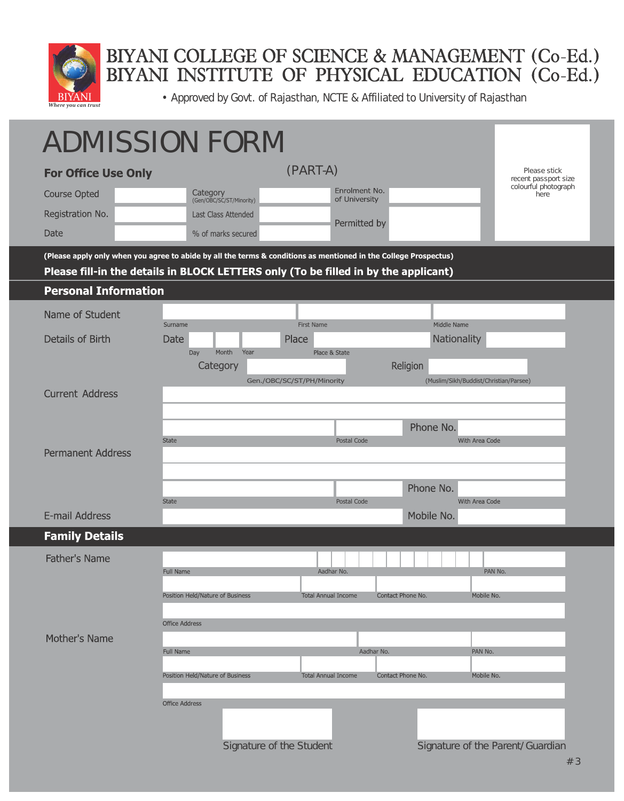

# BIYANI COLLEGE OF SCIENCE & MANAGEMENT (Co-Ed.) BIYANI INSTITUTE OF PHYSICAL EDUCATION (Co-Ed.)

**• Approved by Govt. of Rajasthan, NCTE & Affiliated to University of Rajasthan**

|                                                                               | <b>ADMISSION FORM</b>                                                                                                                                                                                   |                                                                      |
|-------------------------------------------------------------------------------|---------------------------------------------------------------------------------------------------------------------------------------------------------------------------------------------------------|----------------------------------------------------------------------|
| <b>For Office Use Only</b><br><b>Course Opted</b><br>Registration No.<br>Date | (PART-A)<br>Enrolment No.<br>Category<br>of University<br>(Gen/OBC/SC/ST/Minority)<br><b>Last Class Attended</b><br>Permitted by<br>% of marks secured                                                  | Please stick<br>recent passport size<br>colourful photograph<br>here |
|                                                                               | (Please apply only when you agree to abide by all the terms & conditions as mentioned in the College Prospectus)<br>Please fill-in the details in BLOCK LETTERS only (To be filled in by the applicant) |                                                                      |
| <b>Personal Information</b>                                                   |                                                                                                                                                                                                         |                                                                      |
| Name of Student                                                               | Surname<br>First Name                                                                                                                                                                                   | Middle Name                                                          |
| Details of Birth                                                              | Place<br>Date<br>Month<br>Year<br>Day<br>Place & State<br>Religion<br>Category                                                                                                                          | Nationality                                                          |
| <b>Current Address</b>                                                        | Gen./OBC/SC/ST/PH/Minority<br>Phone No.                                                                                                                                                                 | (Muslim/Sikh/Buddist/Christian/Parsee)                               |
| <b>Permanent Address</b>                                                      | <b>State</b><br>Postal Code                                                                                                                                                                             | With Area Code                                                       |
| E-mail Address                                                                | Phone No.<br><b>State</b><br>Postal Code<br>Mobile No.                                                                                                                                                  | With Area Code                                                       |
| <b>Family Details</b><br><b>Father's Name</b>                                 |                                                                                                                                                                                                         |                                                                      |
|                                                                               | <b>Full Name</b><br>Aadhar No.<br>Position Held/Nature of Business<br><b>Total Annual Income</b><br>Contact Phone No.                                                                                   | PAN No.<br>Mobile No.                                                |
| Mother's Name                                                                 | <b>Office Address</b><br>Aadhar No.<br><b>Full Name</b>                                                                                                                                                 | PAN No.                                                              |
|                                                                               | Position Held/Nature of Business<br><b>Total Annual Income</b><br>Contact Phone No.<br><b>Office Address</b><br>Signature of the Student                                                                | Mobile No.<br>Signature of the Parent/Guardian                       |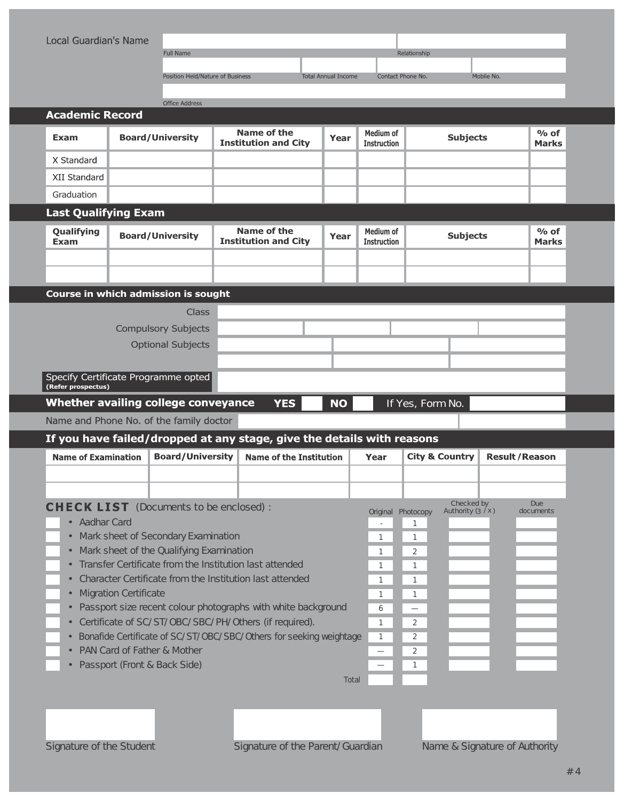| Local Guardian's Name                                                                                                                            |                              |                                          |                                                                        |  |                            |                                 |                               |                     |                        |  |
|--------------------------------------------------------------------------------------------------------------------------------------------------|------------------------------|------------------------------------------|------------------------------------------------------------------------|--|----------------------------|---------------------------------|-------------------------------|---------------------|------------------------|--|
|                                                                                                                                                  |                              | <b>Full Name</b>                         |                                                                        |  |                            |                                 | Relationship                  |                     |                        |  |
|                                                                                                                                                  |                              | Position Held/Nature of Business         |                                                                        |  | <b>Total Annual Income</b> | Contact Phone No.               |                               | Mobile No.          |                        |  |
|                                                                                                                                                  |                              | <b>Office Address</b>                    |                                                                        |  |                            |                                 |                               |                     |                        |  |
| <b>Academic Record</b>                                                                                                                           |                              |                                          |                                                                        |  |                            |                                 |                               |                     |                        |  |
| Exam                                                                                                                                             |                              | <b>Board/University</b>                  | Name of the<br><b>Institution and City</b>                             |  | Year                       | Medium of<br><b>Instruction</b> |                               | <b>Subjects</b>     | $%$ of<br><b>Marks</b> |  |
| X Standard                                                                                                                                       |                              |                                          |                                                                        |  |                            |                                 |                               |                     |                        |  |
| XII Standard                                                                                                                                     |                              |                                          |                                                                        |  |                            |                                 |                               |                     |                        |  |
| Graduation                                                                                                                                       |                              |                                          |                                                                        |  |                            |                                 |                               |                     |                        |  |
| <b>Last Qualifying Exam</b>                                                                                                                      |                              |                                          |                                                                        |  |                            |                                 |                               |                     |                        |  |
| Qualifying<br><b>Exam</b>                                                                                                                        |                              | <b>Board/University</b>                  | Name of the<br><b>Institution and City</b>                             |  | Year                       | Medium of<br><b>Instruction</b> |                               | <b>Subjects</b>     | $%$ of<br><b>Marks</b> |  |
|                                                                                                                                                  |                              |                                          |                                                                        |  |                            |                                 |                               |                     |                        |  |
| Course in which admission is sought                                                                                                              |                              |                                          |                                                                        |  |                            |                                 |                               |                     |                        |  |
|                                                                                                                                                  |                              | Class                                    |                                                                        |  |                            |                                 |                               |                     |                        |  |
|                                                                                                                                                  |                              | <b>Compulsory Subjects</b>               |                                                                        |  |                            |                                 |                               |                     |                        |  |
|                                                                                                                                                  |                              | <b>Optional Subjects</b>                 |                                                                        |  |                            |                                 |                               |                     |                        |  |
| Specify Certificate Programme opted                                                                                                              |                              |                                          |                                                                        |  |                            |                                 |                               |                     |                        |  |
| (Refer prospectus)                                                                                                                               |                              |                                          |                                                                        |  |                            |                                 |                               |                     |                        |  |
| Whether availing college conveyance                                                                                                              |                              |                                          | <b>YES</b>                                                             |  | <b>NO</b>                  |                                 | If Yes, Form No.              |                     |                        |  |
| Name and Phone No. of the family doctor                                                                                                          |                              |                                          |                                                                        |  |                            |                                 |                               |                     |                        |  |
|                                                                                                                                                  |                              |                                          | If you have failed/dropped at any stage, give the details with reasons |  |                            |                                 |                               |                     |                        |  |
| <b>Name of Examination</b>                                                                                                                       |                              | <b>Board/University</b>                  | <b>Name of the Institution</b>                                         |  |                            | Year                            | <b>City &amp; Country</b>     |                     | <b>Result/Reason</b>   |  |
|                                                                                                                                                  |                              |                                          |                                                                        |  |                            |                                 |                               |                     |                        |  |
|                                                                                                                                                  |                              |                                          |                                                                        |  |                            |                                 |                               | Checked by          | <b>Due</b>             |  |
| <b>CHECK LIST</b> (Documents to be enclosed) :<br>• Aadhar Card                                                                                  |                              |                                          |                                                                        |  |                            | Original Photocopy              |                               | Authority $(3 / x)$ | documents              |  |
|                                                                                                                                                  |                              | Mark sheet of Secondary Examination      |                                                                        |  |                            | 1                               | -1<br>$\mathbf{1}$            |                     |                        |  |
| $\bullet$                                                                                                                                        |                              | Mark sheet of the Qualifying Examination |                                                                        |  |                            | 1                               | $\overline{2}$                |                     |                        |  |
|                                                                                                                                                  |                              |                                          | Transfer Certificate from the Institution last attended                |  |                            | 1                               | -1                            |                     |                        |  |
| $\bullet$                                                                                                                                        |                              |                                          | Character Certificate from the Institution last attended               |  |                            | 1.                              | $\mathbf{1}$                  |                     |                        |  |
| $\bullet$                                                                                                                                        | <b>Migration Certificate</b> |                                          | Passport size recent colour photographs with white background          |  |                            | 1                               | 1                             |                     |                        |  |
|                                                                                                                                                  |                              |                                          |                                                                        |  |                            | 6<br>1                          | $\overline{\phantom{0}}$<br>2 |                     |                        |  |
| Certificate of SC/ST/OBC/SBC/PH/Others (if required).<br>Bonafide Certificate of SC/ST/OBC/SBC/Others for seeking weightage<br>2<br>$\mathbf{1}$ |                              |                                          |                                                                        |  |                            |                                 |                               |                     |                        |  |
|                                                                                                                                                  | PAN Card of Father & Mother  |                                          |                                                                        |  |                            |                                 | 2                             |                     |                        |  |
| $\bullet$                                                                                                                                        | Passport (Front & Back Side) |                                          |                                                                        |  |                            |                                 | 1                             |                     |                        |  |
|                                                                                                                                                  |                              |                                          |                                                                        |  | Total                      |                                 |                               |                     |                        |  |
|                                                                                                                                                  |                              |                                          |                                                                        |  |                            |                                 |                               |                     |                        |  |
|                                                                                                                                                  |                              |                                          |                                                                        |  |                            |                                 |                               |                     |                        |  |
|                                                                                                                                                  |                              |                                          |                                                                        |  |                            |                                 |                               |                     |                        |  |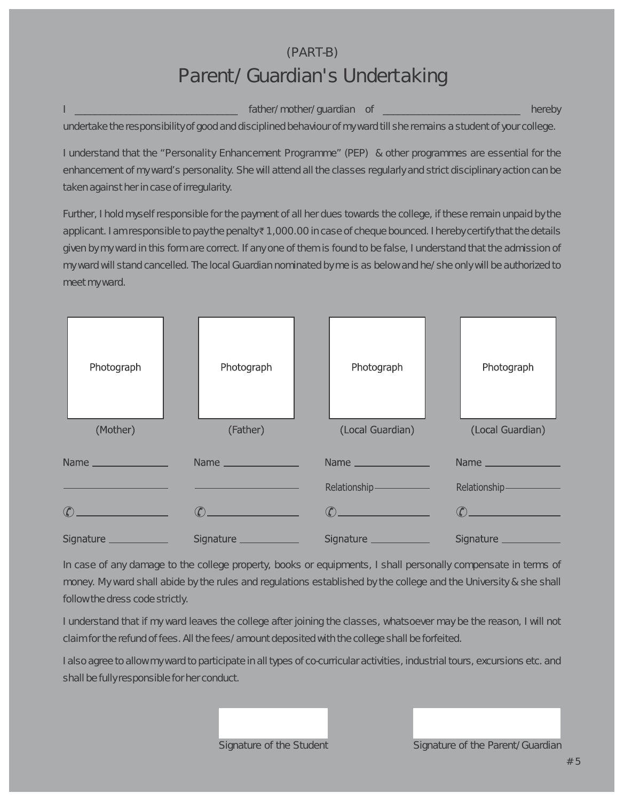## **(PART-B) Parent/Guardian's Undertaking**

father/mother/guardian of \_\_\_\_\_\_\_\_\_\_\_\_\_\_\_\_\_\_\_\_\_\_\_\_\_\_\_\_\_\_\_ hereby undertake the responsibility of good and disciplined behaviour of my ward till she remains a student of your college.

I understand that the **"Personality Enhancement Programme"** (PEP) & other programmes are essential for the enhancement of my ward's personality. She will attend all the classes regularly and strict disciplinary action can be taken against her in case of irregularity.

Further, I hold myself responsible for the payment of all her dues towards the college, if these remain unpaid by the applicant. I am responsible to pay the penalty $\bar{\tau}$  1,000.00 in case of cheque bounced. I hereby certify that the details given by my ward in this form are correct. If any one of them is found to be false, I understand that the admission of my ward will stand cancelled. The local Guardian nominated by me is as below and he/she only will be authorized to meet my ward.

| Photograph                                                                                       | Photograph                                                                                                             | Photograph              | Photograph              |
|--------------------------------------------------------------------------------------------------|------------------------------------------------------------------------------------------------------------------------|-------------------------|-------------------------|
| (Mother)                                                                                         | (Father)                                                                                                               | (Local Guardian)        | (Local Guardian)        |
| Name _______________<br>Name _______________                                                     |                                                                                                                        | Name _______________    | Name ______________     |
|                                                                                                  | <u> De Barbara de la Carlo de Santo de Barbara de la Carlo de Santo de Santo de Santo de Santo de Santo de Santo d</u> | Relationship-           | Relationship-           |
| $\left(\begin{matrix} \cdot \end{matrix}\right)$<br><u> 1990 - Jan Barnett, fransk politik (</u> | $\mathcal{C}$<br><u> 1990 - Johann Barbara, martxa a</u>                                                               | $\mathcal{L}$           | $\binom{n}{k}$          |
| Signature ____________                                                                           | Signature _____________                                                                                                | Signature _____________ | Signature _____________ |

In case of any damage to the college property, books or equipments, I shall personally compensate in terms of money. My ward shall abide by the rules and regulations established by the college and the University & she shall follow the dress code strictly.

I understand that if my ward leaves the college after joining the classes, whatsoever may be the reason, I will not claim for the refund of fees. All the fees/amount deposited with the college shall be forfeited.

I also agree to allowmy ward to participate in all types of co-curricular activities, industrial tours, excursions etc. and shall be fully responsible for her conduct.

Signature of the Student Signature of the Parent/Guardian